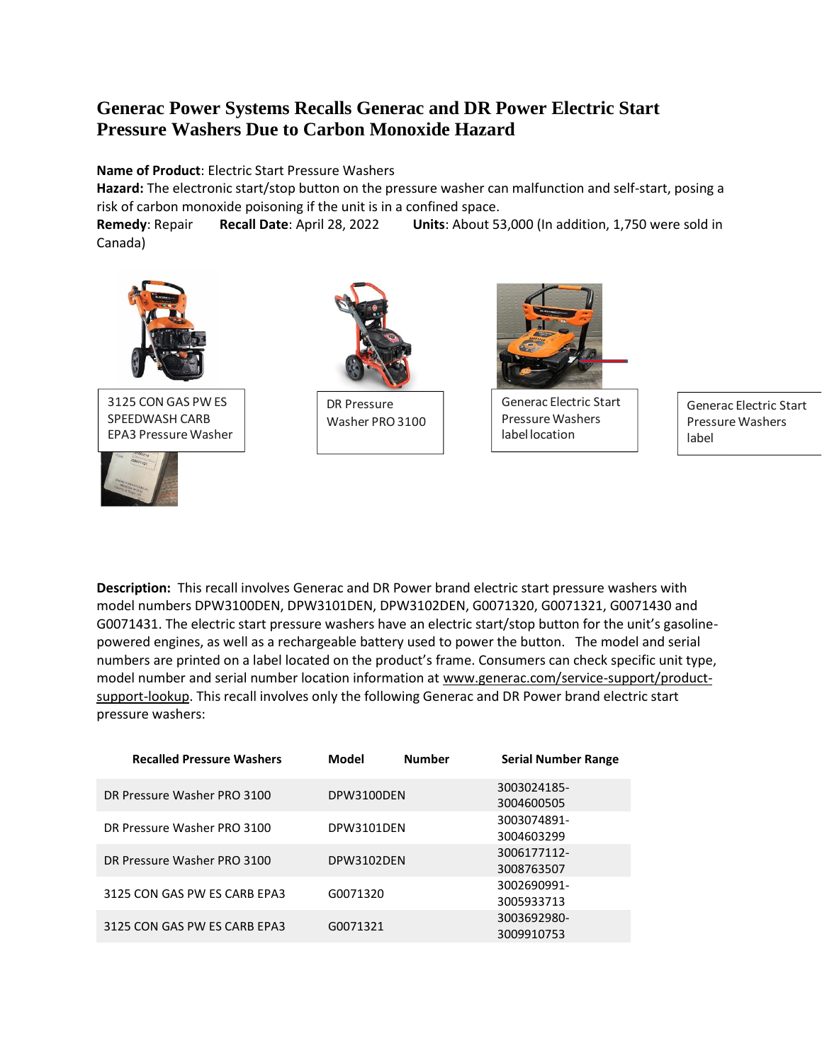## **Generac Power Systems Recalls Generac and DR Power Electric Start Pressure Washers Due to Carbon Monoxide Hazard**

## **Name of Product**: Electric Start Pressure Washers

**Hazard:** The electronic start/stop button on the pressure washer can malfunction and self-start, posing a risk of carbon monoxide poisoning if the unit is in a confined space.

**Remedy**: Repair **Recall Date**: April 28, 2022 **Units**: About 53,000 (In addition, 1,750 were sold in Canada)



3125 CON GAS PW ES SPEEDWASH CARB EPA3 Pressure Washer



 $\overline{1}$ 



DR Pressure Washer PRO 3100



Generac Electric Start Pressure Washers label location

Generac Electric Start Pressure Washers label

**Description:** This recall involves Generac and DR Power brand electric start pressure washers with model numbers DPW3100DEN, DPW3101DEN, DPW3102DEN, G0071320, G0071321, G0071430 and G0071431. The electric start pressure washers have an electric start/stop button for the unit's gasolinepowered engines, as well as a rechargeable battery used to power the button. The model and serial numbers are printed on a label located on the product's frame. Consumers can check specific unit type, model number and serial number location information at [www.generac.com/service-support/product](http://www.generac.com/service-support/product-support-lookup)[support-lookup.](http://www.generac.com/service-support/product-support-lookup) This recall involves only the following Generac and DR Power brand electric start pressure washers:

| <b>Recalled Pressure Washers</b> | Model             | <b>Number</b> | <b>Serial Number Range</b> |
|----------------------------------|-------------------|---------------|----------------------------|
| DR Pressure Washer PRO 3100      | DPW3100DEN        |               | 3003024185-<br>3004600505  |
| DR Pressure Washer PRO 3100      | <b>DPW3101DEN</b> |               | 3003074891-<br>3004603299  |
| DR Pressure Washer PRO 3100      | DPW3102DEN        |               | 3006177112-<br>3008763507  |
| 3125 CON GAS PW ES CARB EPA3     | G0071320          |               | 3002690991-<br>3005933713  |
| 3125 CON GAS PW ES CARB EPA3     | G0071321          |               | 3003692980-<br>3009910753  |